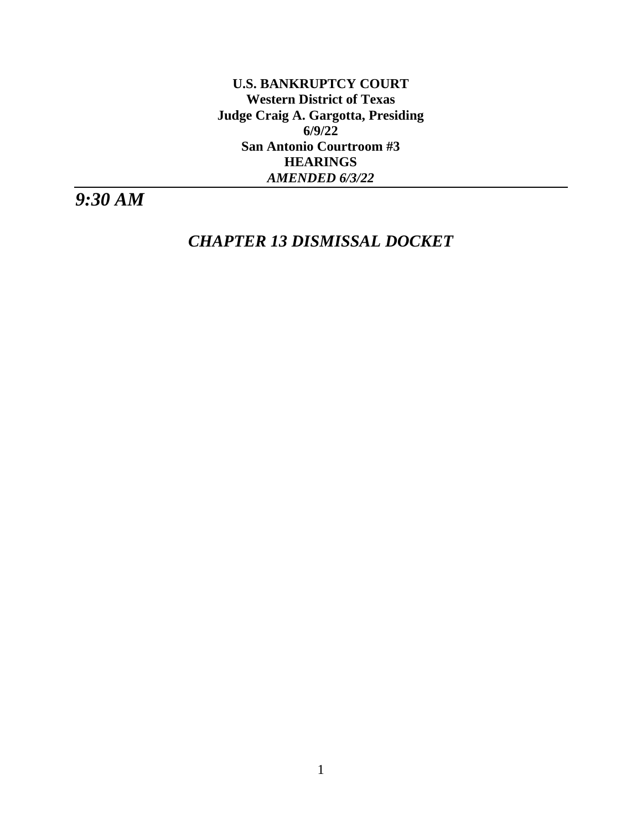**U.S. BANKRUPTCY COURT Western District of Texas Judge Craig A. Gargotta, Presiding 6/9/22 San Antonio Courtroom #3 HEARINGS** *AMENDED 6/3/22*

*9:30 AM*

*CHAPTER 13 DISMISSAL DOCKET*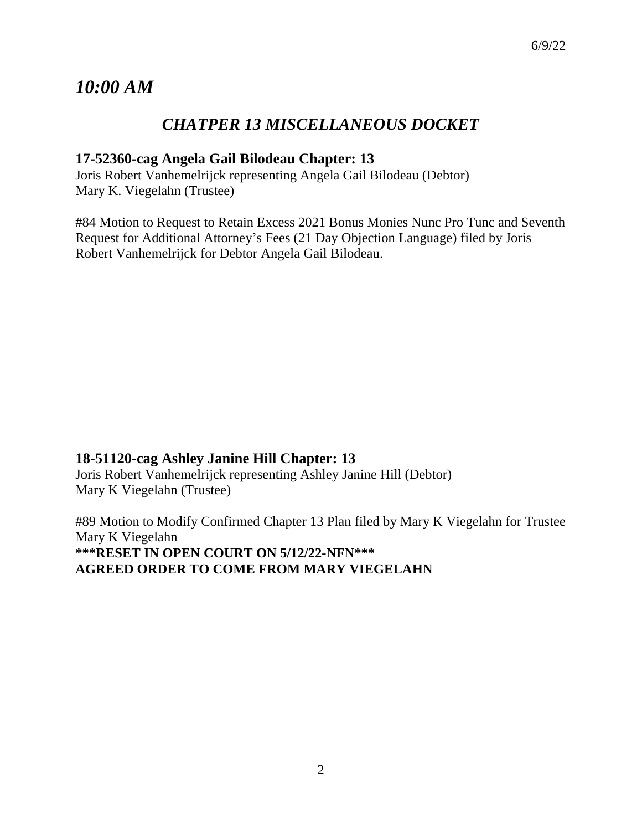# *10:00 AM*

# *CHATPER 13 MISCELLANEOUS DOCKET*

# **17-52360-cag Angela Gail Bilodeau Chapter: 13**

Joris Robert Vanhemelrijck representing Angela Gail Bilodeau (Debtor) Mary K. Viegelahn (Trustee)

#84 Motion to Request to Retain Excess 2021 Bonus Monies Nunc Pro Tunc and Seventh Request for Additional Attorney's Fees (21 Day Objection Language) filed by Joris Robert Vanhemelrijck for Debtor Angela Gail Bilodeau.

# **18-51120-cag Ashley Janine Hill Chapter: 13**

Joris Robert Vanhemelrijck representing Ashley Janine Hill (Debtor) Mary K Viegelahn (Trustee)

#89 Motion to Modify Confirmed Chapter 13 Plan filed by Mary K Viegelahn for Trustee Mary K Viegelahn **\*\*\*RESET IN OPEN COURT ON 5/12/22-NFN\*\*\* AGREED ORDER TO COME FROM MARY VIEGELAHN**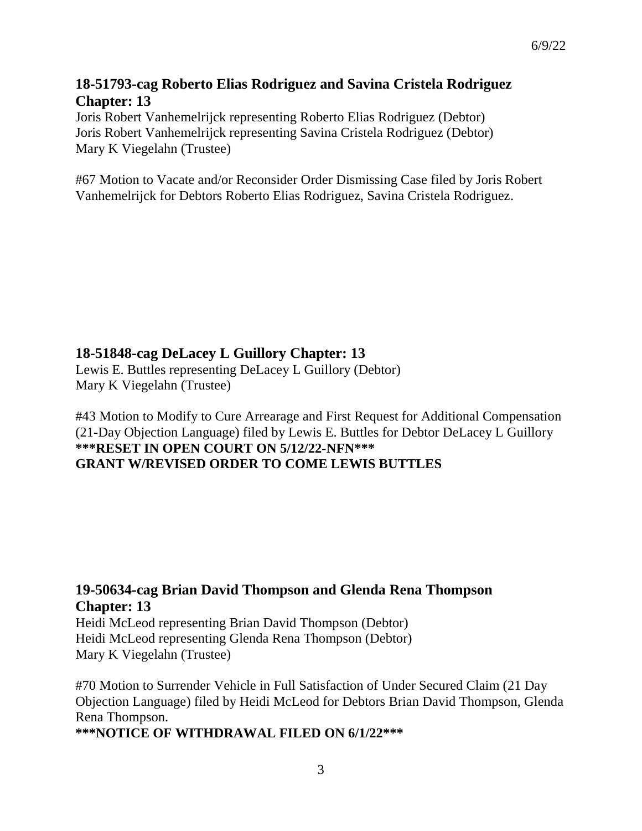# **18-51793-cag Roberto Elias Rodriguez and Savina Cristela Rodriguez Chapter: 13**

Joris Robert Vanhemelrijck representing Roberto Elias Rodriguez (Debtor) Joris Robert Vanhemelrijck representing Savina Cristela Rodriguez (Debtor) Mary K Viegelahn (Trustee)

#67 Motion to Vacate and/or Reconsider Order Dismissing Case filed by Joris Robert Vanhemelrijck for Debtors Roberto Elias Rodriguez, Savina Cristela Rodriguez.

# **18-51848-cag DeLacey L Guillory Chapter: 13**

Lewis E. Buttles representing DeLacey L Guillory (Debtor) Mary K Viegelahn (Trustee)

#43 Motion to Modify to Cure Arrearage and First Request for Additional Compensation (21-Day Objection Language) filed by Lewis E. Buttles for Debtor DeLacey L Guillory **\*\*\*RESET IN OPEN COURT ON 5/12/22-NFN\*\*\* GRANT W/REVISED ORDER TO COME LEWIS BUTTLES**

# **19-50634-cag Brian David Thompson and Glenda Rena Thompson Chapter: 13**

Heidi McLeod representing Brian David Thompson (Debtor) Heidi McLeod representing Glenda Rena Thompson (Debtor) Mary K Viegelahn (Trustee)

#70 Motion to Surrender Vehicle in Full Satisfaction of Under Secured Claim (21 Day Objection Language) filed by Heidi McLeod for Debtors Brian David Thompson, Glenda Rena Thompson.

**\*\*\*NOTICE OF WITHDRAWAL FILED ON 6/1/22\*\*\*** 

6/9/22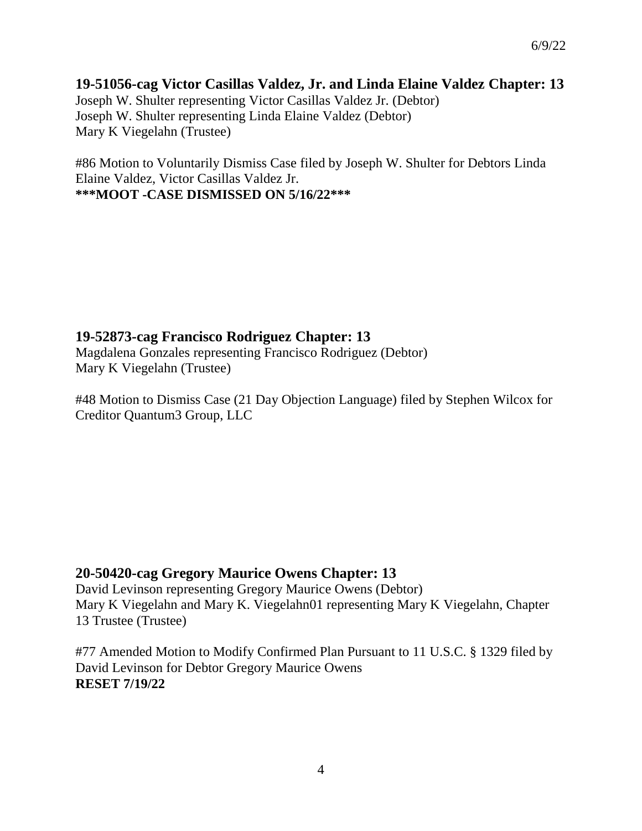## **19-51056-cag Victor Casillas Valdez, Jr. and Linda Elaine Valdez Chapter: 13** Joseph W. Shulter representing Victor Casillas Valdez Jr. (Debtor) Joseph W. Shulter representing Linda Elaine Valdez (Debtor) Mary K Viegelahn (Trustee)

#86 Motion to Voluntarily Dismiss Case filed by Joseph W. Shulter for Debtors Linda Elaine Valdez, Victor Casillas Valdez Jr. **\*\*\*MOOT -CASE DISMISSED ON 5/16/22\*\*\*** 

# **19-52873-cag Francisco Rodriguez Chapter: 13**

Magdalena Gonzales representing Francisco Rodriguez (Debtor) Mary K Viegelahn (Trustee)

#48 Motion to Dismiss Case (21 Day Objection Language) filed by Stephen Wilcox for Creditor Quantum3 Group, LLC

# **20-50420-cag Gregory Maurice Owens Chapter: 13**

David Levinson representing Gregory Maurice Owens (Debtor) Mary K Viegelahn and Mary K. Viegelahn01 representing Mary K Viegelahn, Chapter 13 Trustee (Trustee)

#77 Amended Motion to Modify Confirmed Plan Pursuant to 11 U.S.C. § 1329 filed by David Levinson for Debtor Gregory Maurice Owens **RESET 7/19/22**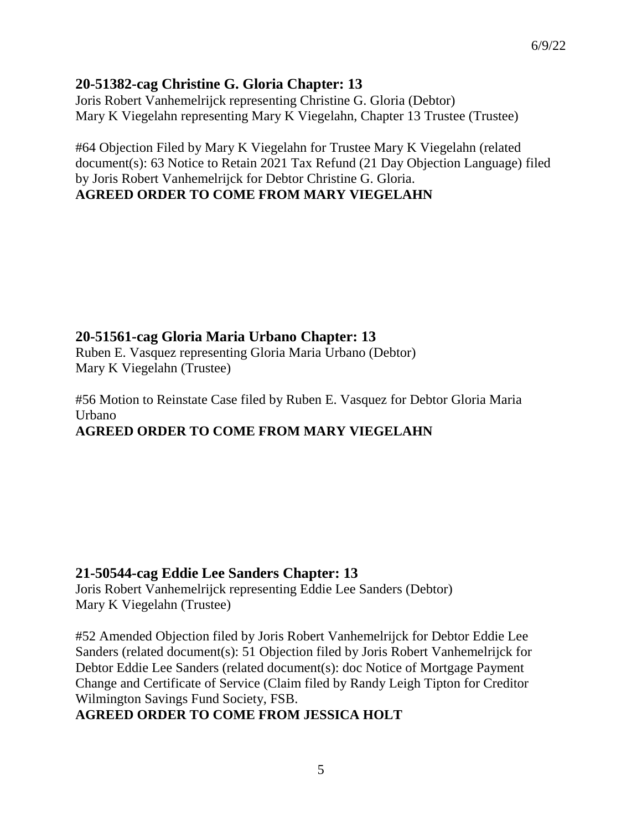# **20-51382-cag Christine G. Gloria Chapter: 13**

Joris Robert Vanhemelrijck representing Christine G. Gloria (Debtor) Mary K Viegelahn representing Mary K Viegelahn, Chapter 13 Trustee (Trustee)

#64 Objection Filed by Mary K Viegelahn for Trustee Mary K Viegelahn (related document(s): 63 Notice to Retain 2021 Tax Refund (21 Day Objection Language) filed by Joris Robert Vanhemelrijck for Debtor Christine G. Gloria. **AGREED ORDER TO COME FROM MARY VIEGELAHN**

**20-51561-cag Gloria Maria Urbano Chapter: 13**

Ruben E. Vasquez representing Gloria Maria Urbano (Debtor) Mary K Viegelahn (Trustee)

#56 Motion to Reinstate Case filed by Ruben E. Vasquez for Debtor Gloria Maria Urbano **AGREED ORDER TO COME FROM MARY VIEGELAHN**

# **21-50544-cag Eddie Lee Sanders Chapter: 13**

Joris Robert Vanhemelrijck representing Eddie Lee Sanders (Debtor) Mary K Viegelahn (Trustee)

#52 Amended Objection filed by Joris Robert Vanhemelrijck for Debtor Eddie Lee Sanders (related document(s): 51 Objection filed by Joris Robert Vanhemelrijck for Debtor Eddie Lee Sanders (related document(s): doc Notice of Mortgage Payment Change and Certificate of Service (Claim filed by Randy Leigh Tipton for Creditor Wilmington Savings Fund Society, FSB.

## **AGREED ORDER TO COME FROM JESSICA HOLT**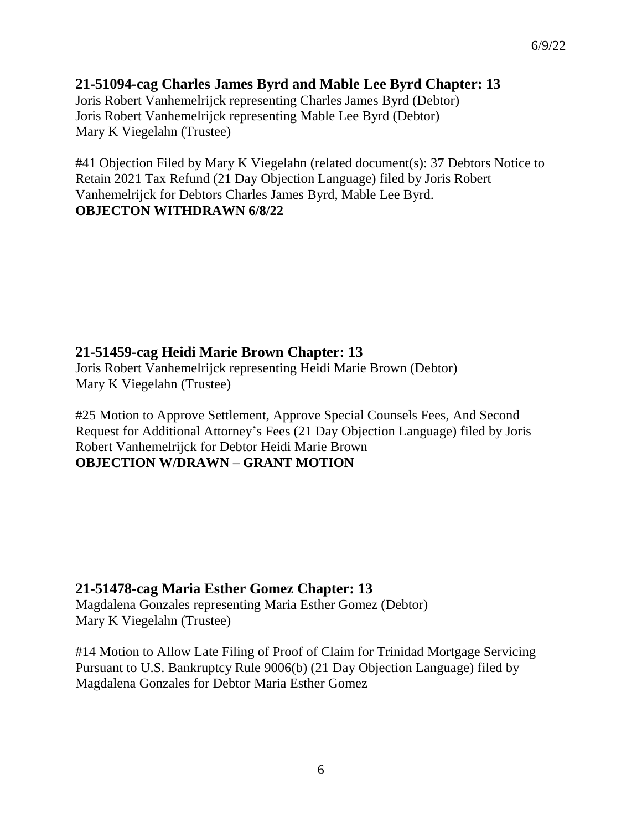#### **21-51094-cag Charles James Byrd and Mable Lee Byrd Chapter: 13**

Joris Robert Vanhemelrijck representing Charles James Byrd (Debtor) Joris Robert Vanhemelrijck representing Mable Lee Byrd (Debtor) Mary K Viegelahn (Trustee)

#41 Objection Filed by Mary K Viegelahn (related document(s): 37 Debtors Notice to Retain 2021 Tax Refund (21 Day Objection Language) filed by Joris Robert Vanhemelrijck for Debtors Charles James Byrd, Mable Lee Byrd. **OBJECTON WITHDRAWN 6/8/22**

## **21-51459-cag Heidi Marie Brown Chapter: 13**

Joris Robert Vanhemelrijck representing Heidi Marie Brown (Debtor) Mary K Viegelahn (Trustee)

#25 Motion to Approve Settlement, Approve Special Counsels Fees, And Second Request for Additional Attorney's Fees (21 Day Objection Language) filed by Joris Robert Vanhemelrijck for Debtor Heidi Marie Brown **OBJECTION W/DRAWN – GRANT MOTION**

## **21-51478-cag Maria Esther Gomez Chapter: 13**

Magdalena Gonzales representing Maria Esther Gomez (Debtor) Mary K Viegelahn (Trustee)

#14 Motion to Allow Late Filing of Proof of Claim for Trinidad Mortgage Servicing Pursuant to U.S. Bankruptcy Rule 9006(b) (21 Day Objection Language) filed by Magdalena Gonzales for Debtor Maria Esther Gomez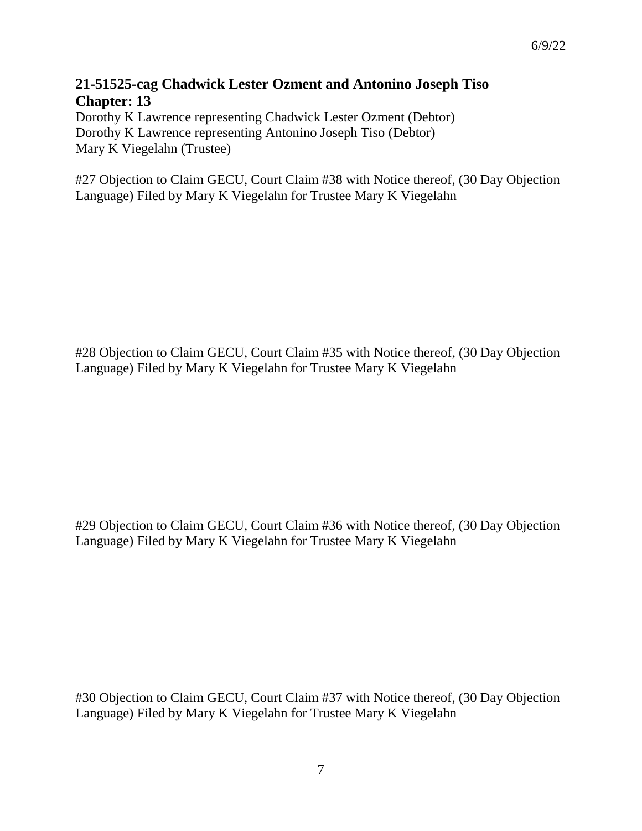# **21-51525-cag Chadwick Lester Ozment and Antonino Joseph Tiso Chapter: 13**

Dorothy K Lawrence representing Chadwick Lester Ozment (Debtor) Dorothy K Lawrence representing Antonino Joseph Tiso (Debtor) Mary K Viegelahn (Trustee)

#27 Objection to Claim GECU, Court Claim #38 with Notice thereof, (30 Day Objection Language) Filed by Mary K Viegelahn for Trustee Mary K Viegelahn

#28 Objection to Claim GECU, Court Claim #35 with Notice thereof, (30 Day Objection Language) Filed by Mary K Viegelahn for Trustee Mary K Viegelahn

#29 Objection to Claim GECU, Court Claim #36 with Notice thereof, (30 Day Objection Language) Filed by Mary K Viegelahn for Trustee Mary K Viegelahn

#30 Objection to Claim GECU, Court Claim #37 with Notice thereof, (30 Day Objection Language) Filed by Mary K Viegelahn for Trustee Mary K Viegelahn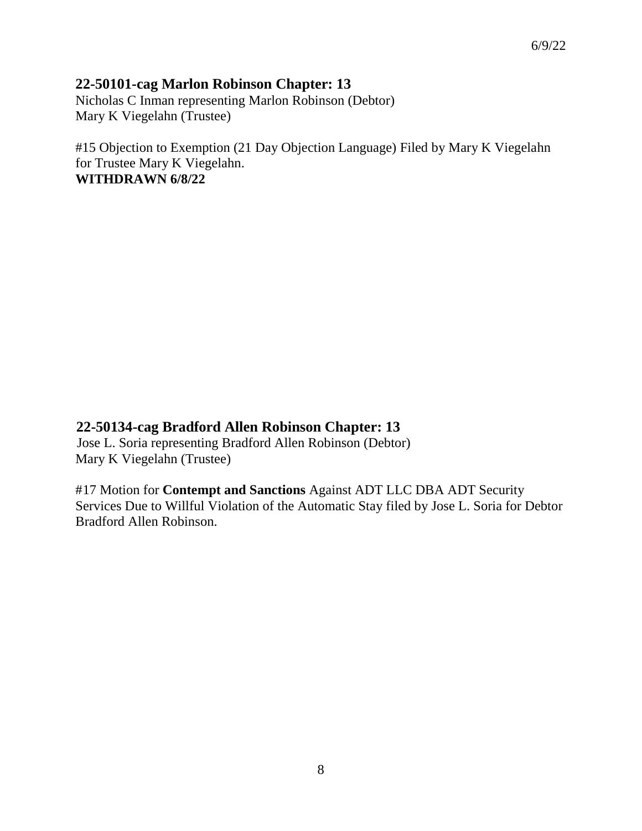## **22-50101-cag Marlon Robinson Chapter: 13**

Nicholas C Inman representing Marlon Robinson (Debtor) Mary K Viegelahn (Trustee)

#15 Objection to Exemption (21 Day Objection Language) Filed by Mary K Viegelahn for Trustee Mary K Viegelahn. **WITHDRAWN 6/8/22**

## **22-50134-cag Bradford Allen Robinson Chapter: 13**

Jose L. Soria representing Bradford Allen Robinson (Debtor) Mary K Viegelahn (Trustee)

#17 Motion for **Contempt and Sanctions** Against ADT LLC DBA ADT Security Services Due to Willful Violation of the Automatic Stay filed by Jose L. Soria for Debtor Bradford Allen Robinson.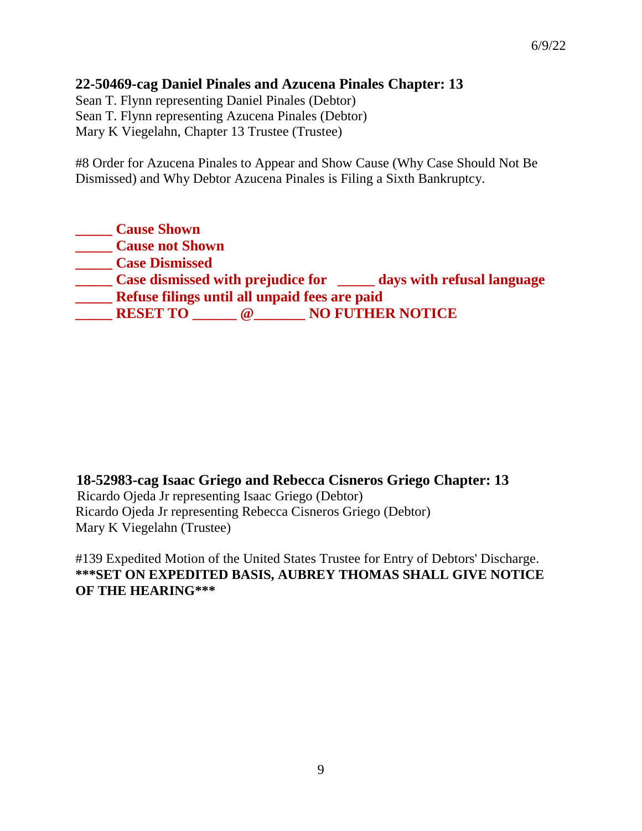## **22-50469-cag Daniel Pinales and Azucena Pinales Chapter: 13**

Sean T. Flynn representing Daniel Pinales (Debtor) Sean T. Flynn representing Azucena Pinales (Debtor) Mary K Viegelahn, Chapter 13 Trustee (Trustee)

#8 Order for Azucena Pinales to Appear and Show Cause (Why Case Should Not Be Dismissed) and Why Debtor Azucena Pinales is Filing a Sixth Bankruptcy.

**\_\_\_\_\_ Cause Shown \_\_\_\_\_ Cause not Shown \_\_\_\_\_ Case Dismissed \_\_\_\_\_ Case dismissed with prejudice for \_\_\_\_\_ days with refusal language \_\_\_\_\_ Refuse filings until all unpaid fees are paid \_\_\_\_\_ RESET TO \_\_\_\_\_\_ @\_\_\_\_\_\_\_ NO FUTHER NOTICE**

**18-52983-cag Isaac Griego and Rebecca Cisneros Griego Chapter: 13** Ricardo Ojeda Jr representing Isaac Griego (Debtor) Ricardo Ojeda Jr representing Rebecca Cisneros Griego (Debtor) Mary K Viegelahn (Trustee)

#139 Expedited Motion of the United States Trustee for Entry of Debtors' Discharge. **\*\*\*SET ON EXPEDITED BASIS, AUBREY THOMAS SHALL GIVE NOTICE OF THE HEARING\*\*\***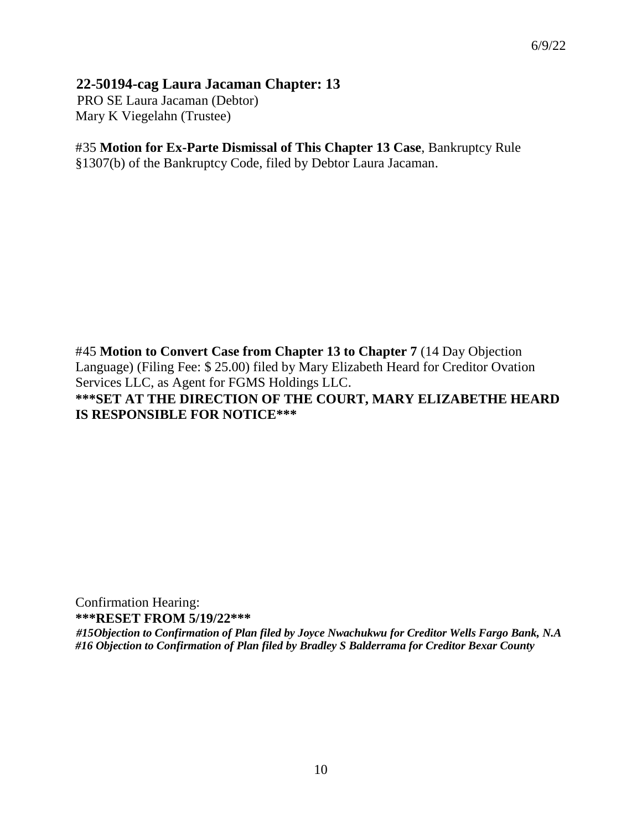## **22-50194-cag Laura Jacaman Chapter: 13**

PRO SE Laura Jacaman (Debtor) Mary K Viegelahn (Trustee)

#### #35 **Motion for Ex-Parte Dismissal of This Chapter 13 Case**, Bankruptcy Rule §1307(b) of the Bankruptcy Code, filed by Debtor Laura Jacaman.

#45 **Motion to Convert Case from Chapter 13 to Chapter 7** (14 Day Objection Language) (Filing Fee: \$ 25.00) filed by Mary Elizabeth Heard for Creditor Ovation Services LLC, as Agent for FGMS Holdings LLC. **\*\*\*SET AT THE DIRECTION OF THE COURT, MARY ELIZABETHE HEARD IS RESPONSIBLE FOR NOTICE\*\*\*** 

Confirmation Hearing: **\*\*\*RESET FROM 5/19/22\*\*\*** 

*#15Objection to Confirmation of Plan filed by Joyce Nwachukwu for Creditor Wells Fargo Bank, N.A #16 Objection to Confirmation of Plan filed by Bradley S Balderrama for Creditor Bexar County*